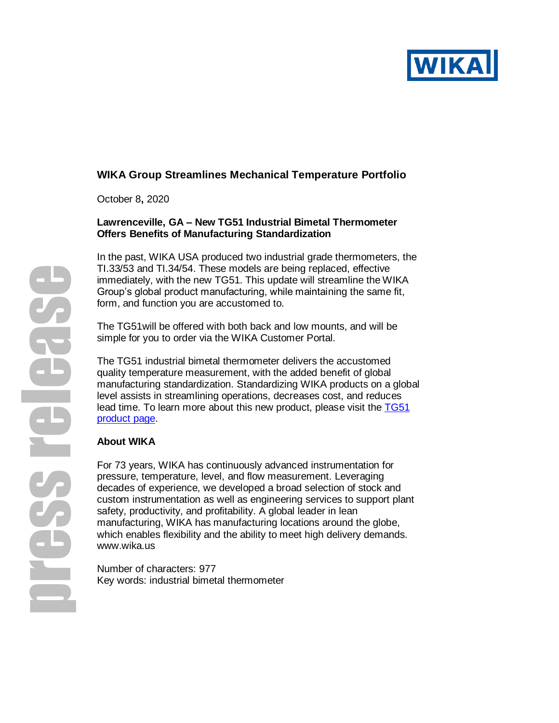

# **WIKA Group Streamlines Mechanical Temperature Portfolio**

October 8**,** 2020

# **Lawrenceville, GA – New TG51 Industrial Bimetal Thermometer Offers Benefits of Manufacturing Standardization**

In the past, WIKA USA produced two industrial grade thermometers, the TI.33/53 and TI.34/54. These models are being replaced, effective immediately, with the new TG51. This update will streamline the WIKA Group's global product manufacturing, while maintaining the same fit, form, and function you are accustomed to.

The TG51will be offered with both back and low mounts, and will be simple for you to order via the WIKA Customer Portal.

The TG51 industrial bimetal thermometer delivers the accustomed quality temperature measurement, with the added benefit of global manufacturing standardization. Standardizing WIKA products on a global level assists in streamlining operations, decreases cost, and reduces lead time. To learn more about this new product, please visit the [TG51](https://www.wika.us/tg51_en_us.WIKA)  [product page.](https://www.wika.us/tg51_en_us.WIKA)

# **About WIKA**

For 73 years, WIKA has continuously advanced instrumentation for pressure, temperature, level, and flow measurement. Leveraging decades of experience, we developed a broad selection of stock and custom instrumentation as well as engineering services to support plant safety, productivity, and profitability. A global leader in lean manufacturing, WIKA has manufacturing locations around the globe, which enables flexibility and the ability to meet high delivery demands. [www.wika.us](http://www.wika.us/)

Number of characters: 977 Key words: industrial bimetal thermometer